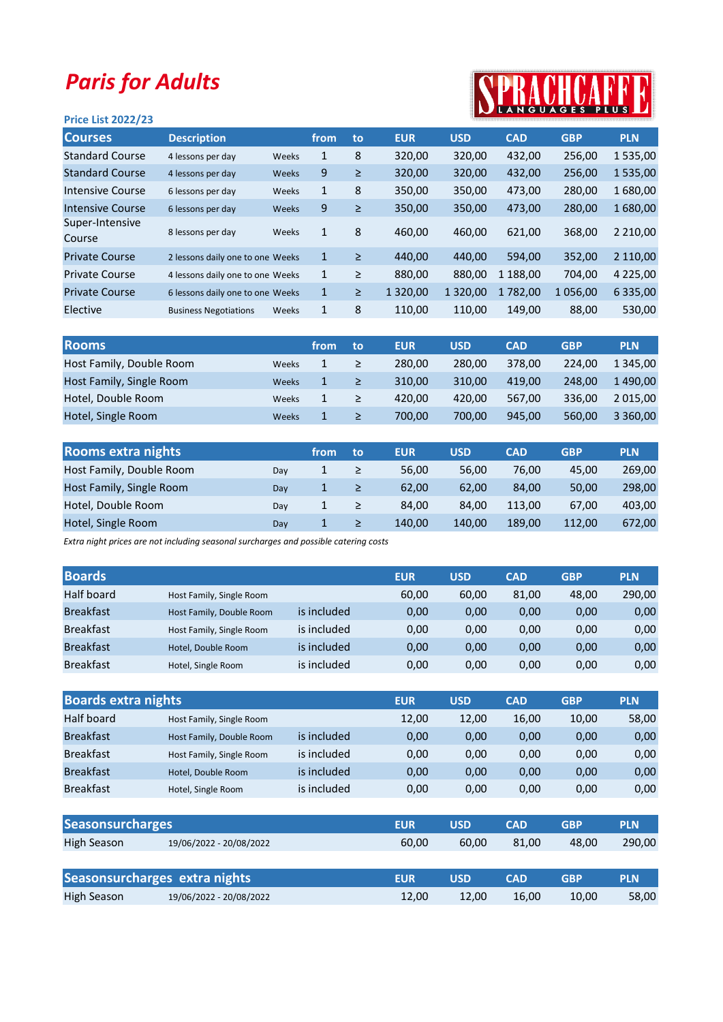## Paris for Adults

## Price List 2022/23



| <b>Courses</b>            | <b>Description</b>               |       | from.        | to     | <b>EUR</b>    | <b>USD</b>    | <b>CAD</b> | <b>GBP</b> | <b>PLN</b>    |
|---------------------------|----------------------------------|-------|--------------|--------|---------------|---------------|------------|------------|---------------|
| <b>Standard Course</b>    | 4 lessons per day                | Weeks | 1            | 8      | 320,00        | 320,00        | 432,00     | 256,00     | 1535,00       |
| <b>Standard Course</b>    | 4 lessons per day                | Weeks | 9            | ≥      | 320,00        | 320,00        | 432,00     | 256,00     | 1535,00       |
| Intensive Course          | 6 lessons per day                | Weeks | 1            | 8      | 350,00        | 350,00        | 473,00     | 280,00     | 1680,00       |
| Intensive Course          | 6 lessons per day                | Weeks | 9            | $\geq$ | 350,00        | 350,00        | 473,00     | 280,00     | 1680,00       |
| Super-Intensive<br>Course | 8 lessons per day                | Weeks | $\mathbf{1}$ | 8      | 460,00        | 460,00        | 621,00     | 368,00     | 2 2 1 0 , 0 0 |
| <b>Private Course</b>     | 2 lessons daily one to one Weeks |       | $\mathbf{1}$ | ≥      | 440,00        | 440,00        | 594,00     | 352,00     | 2 110,00      |
| <b>Private Course</b>     | 4 lessons daily one to one Weeks |       | $\mathbf{1}$ | ≥      | 880,00        | 880,00        | 1 188,00   | 704.00     | 4 2 2 5 , 0 0 |
| <b>Private Course</b>     | 6 lessons daily one to one Weeks |       | $\mathbf{1}$ | $\geq$ | 1 3 2 0 , 0 0 | 1 3 2 0 , 0 0 | 1782,00    | 1056,00    | 6 3 3 5 , 0 0 |
| Elective                  | <b>Business Negotiations</b>     | Weeks | 1            | 8      | 110,00        | 110,00        | 149,00     | 88,00      | 530,00        |
|                           |                                  |       |              |        |               |               |            |            |               |

| <b>Rooms</b>             |              | from | to | <b>EUR</b> | <b>USD</b> | <b>CAD</b> | <b>GBP</b> | <b>PLN</b>    |
|--------------------------|--------------|------|----|------------|------------|------------|------------|---------------|
| Host Family, Double Room | Weeks        | 1    |    | 280.00     | 280.00     | 378.00     | 224.00     | 1 345.00      |
| Host Family, Single Room | Weeks        | 1    |    | 310.00     | 310.00     | 419.00     | 248.00     | 1490.00       |
| Hotel, Double Room       | Weeks        |      |    | 420.00     | 420.00     | 567.00     | 336.00     | 2 0 1 5 , 0 0 |
| Hotel, Single Room       | <b>Weeks</b> |      |    | 700.00     | 700.00     | 945.00     | 560.00     | 3 3 6 0,00    |

| <b>Rooms extra nights</b> |     | from | to | <b>EUR</b> | <b>USD</b> | <b>CAD</b> | <b>GBP</b> | <b>PLN</b> |
|---------------------------|-----|------|----|------------|------------|------------|------------|------------|
| Host Family, Double Room  | Dav |      |    | 56.00      | 56,00      | 76.00      | 45.00      | 269,00     |
| Host Family, Single Room  | Dav |      |    | 62.00      | 62.00      | 84.00      | 50,00      | 298.00     |
| Hotel, Double Room        | Dav |      |    | 84.00      | 84,00      | 113,00     | 67,00      | 403,00     |
| Hotel, Single Room        | Dav |      |    | 140.00     | 140.00     | 189.00     | 112.00     | 672,00     |

Extra night prices are not including seasonal surcharges and possible catering costs

| <b>Boards</b>    |                          |             | <b>EUR</b> | <b>USD</b> | <b>CAD</b> | <b>GBP</b> | <b>PLN</b> |
|------------------|--------------------------|-------------|------------|------------|------------|------------|------------|
| Half board       | Host Family, Single Room |             | 60,00      | 60,00      | 81,00      | 48,00      | 290,00     |
| <b>Breakfast</b> | Host Family, Double Room | is included | 0,00       | 0,00       | 0,00       | 0,00       | 0,00       |
| <b>Breakfast</b> | Host Family, Single Room | is included | 0,00       | 0,00       | 0,00       | 0,00       | 0,00       |
| <b>Breakfast</b> | Hotel, Double Room       | is included | 0,00       | 0,00       | 0,00       | 0,00       | 0,00       |
| <b>Breakfast</b> | Hotel, Single Room       | is included | 0,00       | 0,00       | 0,00       | 0,00       | 0,00       |

| <b>Boards extra nights</b> |                               |             | <b>EUR</b> | <b>USD</b> | <b>CAD</b> | <b>GBP</b> | <b>PLN</b> |
|----------------------------|-------------------------------|-------------|------------|------------|------------|------------|------------|
| Half board                 | Host Family, Single Room      |             | 12,00      | 12,00      | 16,00      | 10,00      | 58,00      |
| <b>Breakfast</b>           | Host Family, Double Room      | is included | 0,00       | 0,00       | 0,00       | 0,00       | 0,00       |
| <b>Breakfast</b>           | Host Family, Single Room      | is included | 0,00       | 0,00       | 0,00       | 0,00       | 0,00       |
| <b>Breakfast</b>           | Hotel, Double Room            | is included | 0,00       | 0,00       | 0,00       | 0,00       | 0,00       |
| <b>Breakfast</b>           | Hotel, Single Room            | is included | 0,00       | 0,00       | 0,00       | 0,00       | 0,00       |
|                            |                               |             |            |            |            |            |            |
| <b>Seasonsurcharges</b>    |                               |             | <b>EUR</b> | <b>USD</b> | <b>CAD</b> | <b>GBP</b> | <b>PLN</b> |
| <b>High Season</b>         | 19/06/2022 - 20/08/2022       |             | 60,00      | 60,00      | 81,00      | 48,00      | 290,00     |
|                            |                               |             |            |            |            |            |            |
|                            | Seasonsurcharges extra nights |             | <b>EUR</b> | <b>USD</b> | <b>CAD</b> | <b>GBP</b> | <b>PLN</b> |
| <b>High Season</b>         | 19/06/2022 - 20/08/2022       |             | 12,00      | 12,00      | 16,00      | 10,00      | 58,00      |